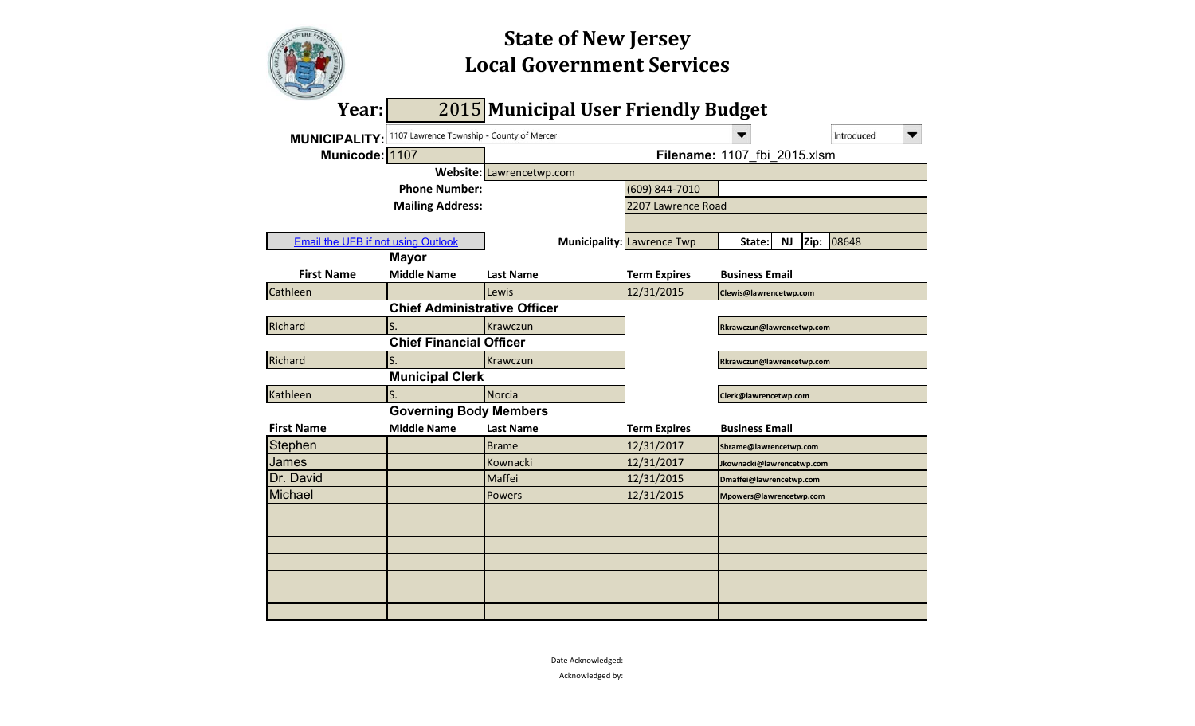# **Local Government Services State of New Jersey**

| Year:                                     |                                           |                          | 2015 Municipal User Friendly Budget |                         |                           |            |  |
|-------------------------------------------|-------------------------------------------|--------------------------|-------------------------------------|-------------------------|---------------------------|------------|--|
| <b>MUNICIPALITY:</b>                      | 1107 Lawrence Township - County of Mercer |                          |                                     |                         |                           | Introduced |  |
| Municode: 1107                            |                                           |                          | Filename: 1107 fbi 2015.xlsm        |                         |                           |            |  |
|                                           |                                           | Website: Lawrencetwp.com |                                     |                         |                           |            |  |
|                                           | <b>Phone Number:</b>                      |                          | (609) 844-7010                      |                         |                           |            |  |
|                                           | <b>Mailing Address:</b>                   |                          | 2207 Lawrence Road                  |                         |                           |            |  |
|                                           |                                           |                          |                                     |                         |                           |            |  |
| <b>Email the UFB if not using Outlook</b> |                                           |                          | <b>Municipality: Lawrence Twp</b>   | State:                  | Zip:<br>ΝJ                | 08648      |  |
|                                           | <b>Mayor</b>                              |                          |                                     |                         |                           |            |  |
| <b>First Name</b>                         | <b>Middle Name</b>                        | <b>Last Name</b>         | <b>Term Expires</b>                 | <b>Business Email</b>   |                           |            |  |
| Cathleen                                  |                                           | Lewis                    | 12/31/2015                          | Clewis@lawrencetwp.com  |                           |            |  |
|                                           | <b>Chief Administrative Officer</b>       |                          |                                     |                         |                           |            |  |
| Richard                                   | S.                                        | Krawczun                 |                                     |                         | Rkrawczun@lawrencetwp.com |            |  |
|                                           | <b>Chief Financial Officer</b>            |                          |                                     |                         |                           |            |  |
| Richard                                   | S.                                        | Krawczun                 |                                     |                         | Rkrawczun@lawrencetwp.com |            |  |
|                                           | <b>Municipal Clerk</b>                    |                          |                                     |                         |                           |            |  |
| Kathleen                                  | S.                                        | <b>Norcia</b>            |                                     | Clerk@lawrencetwp.com   |                           |            |  |
|                                           | <b>Governing Body Members</b>             |                          |                                     |                         |                           |            |  |
| <b>First Name</b>                         | <b>Middle Name</b>                        | <b>Last Name</b>         | <b>Term Expires</b>                 | <b>Business Email</b>   |                           |            |  |
| Stephen                                   |                                           | <b>Brame</b>             | 12/31/2017                          | Sbrame@lawrencetwp.com  |                           |            |  |
| James                                     |                                           | Kownacki                 | 12/31/2017                          |                         | Jkownacki@lawrencetwp.com |            |  |
| Dr. David                                 |                                           | Maffei                   | 12/31/2015                          | Dmaffei@lawrencetwp.com |                           |            |  |
| <b>Michael</b>                            |                                           | <b>Powers</b>            | 12/31/2015                          |                         | Mpowers@lawrencetwp.com   |            |  |
|                                           |                                           |                          |                                     |                         |                           |            |  |
|                                           |                                           |                          |                                     |                         |                           |            |  |
|                                           |                                           |                          |                                     |                         |                           |            |  |
|                                           |                                           |                          |                                     |                         |                           |            |  |
|                                           |                                           |                          |                                     |                         |                           |            |  |
|                                           |                                           |                          |                                     |                         |                           |            |  |
|                                           |                                           |                          |                                     |                         |                           |            |  |

Date Acknowledged:

Acknowledged by: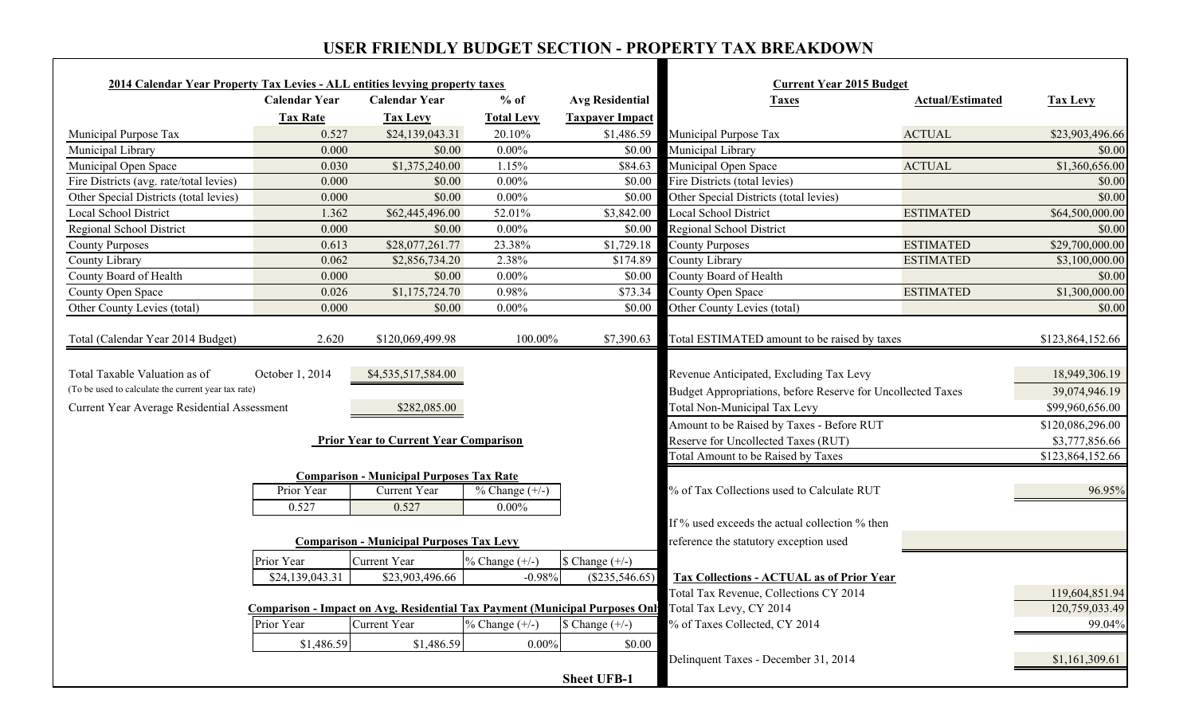### **USER FRIENDLY BUDGET SECTION - PROPERTY TAX BREAKDOWN**

٦

| $%$ of<br><b>Calendar Year</b><br><b>Calendar Year</b><br><b>Avg Residential</b><br><b>Actual/Estimated</b><br><b>Taxes</b><br><b>Tax Levy</b><br><b>Tax Rate</b><br><b>Taxpayer Impact</b><br><b>Tax Levy</b><br><b>Total Levy</b><br>0.527<br>\$24,139,043.31<br>20.10%<br>\$1,486.59<br><b>ACTUAL</b><br>Municipal Purpose Tax<br>\$23,903,496.66<br>Municipal Library<br>\$0.00<br>$0.00\%$<br>\$0.00<br>Municipal Library<br>\$0.00<br>0.000<br>\$1,375,240.00<br>1.15%<br>\$84.63<br>Municipal Open Space<br><b>ACTUAL</b><br>0.030<br>Fire Districts (avg. rate/total levies)<br>$0.00\%$<br>Fire Districts (total levies)<br>0.000<br>\$0.00<br>\$0.00<br>\$0.00<br>$0.00\%$<br>Other Special Districts (total levies)<br>\$0.00<br>0.000<br>\$0.00<br>\$0.00<br>Local School District<br>\$3,842.00<br>Local School District<br><b>ESTIMATED</b><br>\$64,500,000.00<br>1.362<br>\$62,445,496.00<br>52.01%<br>$0.00\%$<br>Regional School District<br>0.000<br>\$0.00<br>\$0.00<br>\$28,077,261.77<br>23.38%<br>\$29,700,000.00<br>\$1,729.18<br><b>County Purposes</b><br><b>ESTIMATED</b><br>0.613<br>0.062<br>2.38%<br>\$174.89<br>County Library<br>\$2,856,734.20<br><b>ESTIMATED</b><br>$0.00\%$<br>County Board of Health<br>0.000<br>\$0.00<br>\$0.00<br>0.026<br>\$1,175,724.70<br>0.98%<br>\$73.34<br>County Open Space<br><b>ESTIMATED</b><br>0.000<br>\$0.00<br>$0.00\%$<br>Other County Levies (total)<br>\$0.00<br>\$0.00<br>Total ESTIMATED amount to be raised by taxes<br>2.620<br>\$120,069,499.98<br>100.00%<br>\$7,390.63<br>October 1, 2014<br>\$4,535,517,584.00<br>Revenue Anticipated, Excluding Tax Levy<br>(To be used to calculate the current year tax rate)<br>Budget Appropriations, before Reserve for Uncollected Taxes<br>Total Non-Municipal Tax Levy<br>Current Year Average Residential Assessment<br>\$282,085.00<br>Amount to be Raised by Taxes - Before RUT<br>\$120,086,296.00<br>Reserve for Uncollected Taxes (RUT)<br><b>Prior Year to Current Year Comparison</b><br>\$3,777,856.66<br>Total Amount to be Raised by Taxes<br>\$123,864,152.66<br><b>Comparison - Municipal Purposes Tax Rate</b><br>Current Year<br>% of Tax Collections used to Calculate RUT<br>Prior Year<br>$% Change (+/-)$<br>96.95%<br>0.527<br>0.527<br>$0.00\%$<br>If % used exceeds the actual collection % then<br><b>Comparison - Municipal Purposes Tax Levy</b><br>reference the statutory exception used<br>Prior Year<br>Current Year<br>$% Change (+/-)$<br>$\$ Change $(+/-)$<br>\$23,903,496.66<br>\$24,139,043.31<br>$-0.98%$<br><b>Tax Collections - ACTUAL as of Prior Year</b><br>$(\$235,546.65)$<br>Total Tax Revenue, Collections CY 2014<br>119,604,851.94<br>Comparison - Impact on Avg. Residential Tax Payment (Municipal Purposes Onl Total Tax Levy, CY 2014<br>120,759,033.49<br>Current Year<br>$%$ Change $(+/-)$<br>% of Taxes Collected, CY 2014<br>Prior Year<br>$\text{\$ Change } (+/-)$<br>99.04%<br>\$1,486.59<br>\$1,486.59<br>$0.00\%$<br>\$0.00<br>Delinquent Taxes - December 31, 2014 | 2014 Calendar Year Property Tax Levies - ALL entities levying property taxes |  |                    | <b>Current Year 2015 Budget</b> |                  |
|-----------------------------------------------------------------------------------------------------------------------------------------------------------------------------------------------------------------------------------------------------------------------------------------------------------------------------------------------------------------------------------------------------------------------------------------------------------------------------------------------------------------------------------------------------------------------------------------------------------------------------------------------------------------------------------------------------------------------------------------------------------------------------------------------------------------------------------------------------------------------------------------------------------------------------------------------------------------------------------------------------------------------------------------------------------------------------------------------------------------------------------------------------------------------------------------------------------------------------------------------------------------------------------------------------------------------------------------------------------------------------------------------------------------------------------------------------------------------------------------------------------------------------------------------------------------------------------------------------------------------------------------------------------------------------------------------------------------------------------------------------------------------------------------------------------------------------------------------------------------------------------------------------------------------------------------------------------------------------------------------------------------------------------------------------------------------------------------------------------------------------------------------------------------------------------------------------------------------------------------------------------------------------------------------------------------------------------------------------------------------------------------------------------------------------------------------------------------------------------------------------------------------------------------------------------------------------------------------------------------------------------------------------------------------------------------------------------------------------------------------------------------------------------------------------------------------------------------------------------------------------------------------------------------------------------------------------------------------------------------------------------------------------------------------------------|------------------------------------------------------------------------------|--|--------------------|---------------------------------|------------------|
|                                                                                                                                                                                                                                                                                                                                                                                                                                                                                                                                                                                                                                                                                                                                                                                                                                                                                                                                                                                                                                                                                                                                                                                                                                                                                                                                                                                                                                                                                                                                                                                                                                                                                                                                                                                                                                                                                                                                                                                                                                                                                                                                                                                                                                                                                                                                                                                                                                                                                                                                                                                                                                                                                                                                                                                                                                                                                                                                                                                                                                                           |                                                                              |  |                    |                                 |                  |
|                                                                                                                                                                                                                                                                                                                                                                                                                                                                                                                                                                                                                                                                                                                                                                                                                                                                                                                                                                                                                                                                                                                                                                                                                                                                                                                                                                                                                                                                                                                                                                                                                                                                                                                                                                                                                                                                                                                                                                                                                                                                                                                                                                                                                                                                                                                                                                                                                                                                                                                                                                                                                                                                                                                                                                                                                                                                                                                                                                                                                                                           |                                                                              |  |                    |                                 |                  |
|                                                                                                                                                                                                                                                                                                                                                                                                                                                                                                                                                                                                                                                                                                                                                                                                                                                                                                                                                                                                                                                                                                                                                                                                                                                                                                                                                                                                                                                                                                                                                                                                                                                                                                                                                                                                                                                                                                                                                                                                                                                                                                                                                                                                                                                                                                                                                                                                                                                                                                                                                                                                                                                                                                                                                                                                                                                                                                                                                                                                                                                           | Municipal Purpose Tax                                                        |  |                    |                                 |                  |
|                                                                                                                                                                                                                                                                                                                                                                                                                                                                                                                                                                                                                                                                                                                                                                                                                                                                                                                                                                                                                                                                                                                                                                                                                                                                                                                                                                                                                                                                                                                                                                                                                                                                                                                                                                                                                                                                                                                                                                                                                                                                                                                                                                                                                                                                                                                                                                                                                                                                                                                                                                                                                                                                                                                                                                                                                                                                                                                                                                                                                                                           |                                                                              |  |                    |                                 |                  |
|                                                                                                                                                                                                                                                                                                                                                                                                                                                                                                                                                                                                                                                                                                                                                                                                                                                                                                                                                                                                                                                                                                                                                                                                                                                                                                                                                                                                                                                                                                                                                                                                                                                                                                                                                                                                                                                                                                                                                                                                                                                                                                                                                                                                                                                                                                                                                                                                                                                                                                                                                                                                                                                                                                                                                                                                                                                                                                                                                                                                                                                           | Municipal Open Space                                                         |  |                    |                                 | \$1,360,656.00   |
|                                                                                                                                                                                                                                                                                                                                                                                                                                                                                                                                                                                                                                                                                                                                                                                                                                                                                                                                                                                                                                                                                                                                                                                                                                                                                                                                                                                                                                                                                                                                                                                                                                                                                                                                                                                                                                                                                                                                                                                                                                                                                                                                                                                                                                                                                                                                                                                                                                                                                                                                                                                                                                                                                                                                                                                                                                                                                                                                                                                                                                                           |                                                                              |  |                    |                                 |                  |
|                                                                                                                                                                                                                                                                                                                                                                                                                                                                                                                                                                                                                                                                                                                                                                                                                                                                                                                                                                                                                                                                                                                                                                                                                                                                                                                                                                                                                                                                                                                                                                                                                                                                                                                                                                                                                                                                                                                                                                                                                                                                                                                                                                                                                                                                                                                                                                                                                                                                                                                                                                                                                                                                                                                                                                                                                                                                                                                                                                                                                                                           | Other Special Districts (total levies)                                       |  |                    |                                 |                  |
|                                                                                                                                                                                                                                                                                                                                                                                                                                                                                                                                                                                                                                                                                                                                                                                                                                                                                                                                                                                                                                                                                                                                                                                                                                                                                                                                                                                                                                                                                                                                                                                                                                                                                                                                                                                                                                                                                                                                                                                                                                                                                                                                                                                                                                                                                                                                                                                                                                                                                                                                                                                                                                                                                                                                                                                                                                                                                                                                                                                                                                                           |                                                                              |  |                    |                                 |                  |
|                                                                                                                                                                                                                                                                                                                                                                                                                                                                                                                                                                                                                                                                                                                                                                                                                                                                                                                                                                                                                                                                                                                                                                                                                                                                                                                                                                                                                                                                                                                                                                                                                                                                                                                                                                                                                                                                                                                                                                                                                                                                                                                                                                                                                                                                                                                                                                                                                                                                                                                                                                                                                                                                                                                                                                                                                                                                                                                                                                                                                                                           | Regional School District                                                     |  |                    |                                 | \$0.00           |
|                                                                                                                                                                                                                                                                                                                                                                                                                                                                                                                                                                                                                                                                                                                                                                                                                                                                                                                                                                                                                                                                                                                                                                                                                                                                                                                                                                                                                                                                                                                                                                                                                                                                                                                                                                                                                                                                                                                                                                                                                                                                                                                                                                                                                                                                                                                                                                                                                                                                                                                                                                                                                                                                                                                                                                                                                                                                                                                                                                                                                                                           | <b>County Purposes</b>                                                       |  |                    |                                 |                  |
|                                                                                                                                                                                                                                                                                                                                                                                                                                                                                                                                                                                                                                                                                                                                                                                                                                                                                                                                                                                                                                                                                                                                                                                                                                                                                                                                                                                                                                                                                                                                                                                                                                                                                                                                                                                                                                                                                                                                                                                                                                                                                                                                                                                                                                                                                                                                                                                                                                                                                                                                                                                                                                                                                                                                                                                                                                                                                                                                                                                                                                                           | County Library                                                               |  |                    |                                 | \$3,100,000.00   |
|                                                                                                                                                                                                                                                                                                                                                                                                                                                                                                                                                                                                                                                                                                                                                                                                                                                                                                                                                                                                                                                                                                                                                                                                                                                                                                                                                                                                                                                                                                                                                                                                                                                                                                                                                                                                                                                                                                                                                                                                                                                                                                                                                                                                                                                                                                                                                                                                                                                                                                                                                                                                                                                                                                                                                                                                                                                                                                                                                                                                                                                           | County Board of Health                                                       |  |                    |                                 | \$0.00           |
|                                                                                                                                                                                                                                                                                                                                                                                                                                                                                                                                                                                                                                                                                                                                                                                                                                                                                                                                                                                                                                                                                                                                                                                                                                                                                                                                                                                                                                                                                                                                                                                                                                                                                                                                                                                                                                                                                                                                                                                                                                                                                                                                                                                                                                                                                                                                                                                                                                                                                                                                                                                                                                                                                                                                                                                                                                                                                                                                                                                                                                                           | County Open Space                                                            |  |                    |                                 | \$1,300,000.00   |
|                                                                                                                                                                                                                                                                                                                                                                                                                                                                                                                                                                                                                                                                                                                                                                                                                                                                                                                                                                                                                                                                                                                                                                                                                                                                                                                                                                                                                                                                                                                                                                                                                                                                                                                                                                                                                                                                                                                                                                                                                                                                                                                                                                                                                                                                                                                                                                                                                                                                                                                                                                                                                                                                                                                                                                                                                                                                                                                                                                                                                                                           | Other County Levies (total)                                                  |  |                    |                                 |                  |
|                                                                                                                                                                                                                                                                                                                                                                                                                                                                                                                                                                                                                                                                                                                                                                                                                                                                                                                                                                                                                                                                                                                                                                                                                                                                                                                                                                                                                                                                                                                                                                                                                                                                                                                                                                                                                                                                                                                                                                                                                                                                                                                                                                                                                                                                                                                                                                                                                                                                                                                                                                                                                                                                                                                                                                                                                                                                                                                                                                                                                                                           | Total (Calendar Year 2014 Budget)                                            |  |                    |                                 | \$123,864,152.66 |
|                                                                                                                                                                                                                                                                                                                                                                                                                                                                                                                                                                                                                                                                                                                                                                                                                                                                                                                                                                                                                                                                                                                                                                                                                                                                                                                                                                                                                                                                                                                                                                                                                                                                                                                                                                                                                                                                                                                                                                                                                                                                                                                                                                                                                                                                                                                                                                                                                                                                                                                                                                                                                                                                                                                                                                                                                                                                                                                                                                                                                                                           | Total Taxable Valuation as of                                                |  |                    |                                 | 18,949,306.19    |
|                                                                                                                                                                                                                                                                                                                                                                                                                                                                                                                                                                                                                                                                                                                                                                                                                                                                                                                                                                                                                                                                                                                                                                                                                                                                                                                                                                                                                                                                                                                                                                                                                                                                                                                                                                                                                                                                                                                                                                                                                                                                                                                                                                                                                                                                                                                                                                                                                                                                                                                                                                                                                                                                                                                                                                                                                                                                                                                                                                                                                                                           |                                                                              |  |                    |                                 | 39,074,946.19    |
|                                                                                                                                                                                                                                                                                                                                                                                                                                                                                                                                                                                                                                                                                                                                                                                                                                                                                                                                                                                                                                                                                                                                                                                                                                                                                                                                                                                                                                                                                                                                                                                                                                                                                                                                                                                                                                                                                                                                                                                                                                                                                                                                                                                                                                                                                                                                                                                                                                                                                                                                                                                                                                                                                                                                                                                                                                                                                                                                                                                                                                                           |                                                                              |  |                    |                                 | \$99,960,656.00  |
|                                                                                                                                                                                                                                                                                                                                                                                                                                                                                                                                                                                                                                                                                                                                                                                                                                                                                                                                                                                                                                                                                                                                                                                                                                                                                                                                                                                                                                                                                                                                                                                                                                                                                                                                                                                                                                                                                                                                                                                                                                                                                                                                                                                                                                                                                                                                                                                                                                                                                                                                                                                                                                                                                                                                                                                                                                                                                                                                                                                                                                                           |                                                                              |  |                    |                                 |                  |
|                                                                                                                                                                                                                                                                                                                                                                                                                                                                                                                                                                                                                                                                                                                                                                                                                                                                                                                                                                                                                                                                                                                                                                                                                                                                                                                                                                                                                                                                                                                                                                                                                                                                                                                                                                                                                                                                                                                                                                                                                                                                                                                                                                                                                                                                                                                                                                                                                                                                                                                                                                                                                                                                                                                                                                                                                                                                                                                                                                                                                                                           |                                                                              |  |                    |                                 |                  |
|                                                                                                                                                                                                                                                                                                                                                                                                                                                                                                                                                                                                                                                                                                                                                                                                                                                                                                                                                                                                                                                                                                                                                                                                                                                                                                                                                                                                                                                                                                                                                                                                                                                                                                                                                                                                                                                                                                                                                                                                                                                                                                                                                                                                                                                                                                                                                                                                                                                                                                                                                                                                                                                                                                                                                                                                                                                                                                                                                                                                                                                           |                                                                              |  |                    |                                 |                  |
|                                                                                                                                                                                                                                                                                                                                                                                                                                                                                                                                                                                                                                                                                                                                                                                                                                                                                                                                                                                                                                                                                                                                                                                                                                                                                                                                                                                                                                                                                                                                                                                                                                                                                                                                                                                                                                                                                                                                                                                                                                                                                                                                                                                                                                                                                                                                                                                                                                                                                                                                                                                                                                                                                                                                                                                                                                                                                                                                                                                                                                                           |                                                                              |  |                    |                                 |                  |
|                                                                                                                                                                                                                                                                                                                                                                                                                                                                                                                                                                                                                                                                                                                                                                                                                                                                                                                                                                                                                                                                                                                                                                                                                                                                                                                                                                                                                                                                                                                                                                                                                                                                                                                                                                                                                                                                                                                                                                                                                                                                                                                                                                                                                                                                                                                                                                                                                                                                                                                                                                                                                                                                                                                                                                                                                                                                                                                                                                                                                                                           |                                                                              |  |                    |                                 |                  |
|                                                                                                                                                                                                                                                                                                                                                                                                                                                                                                                                                                                                                                                                                                                                                                                                                                                                                                                                                                                                                                                                                                                                                                                                                                                                                                                                                                                                                                                                                                                                                                                                                                                                                                                                                                                                                                                                                                                                                                                                                                                                                                                                                                                                                                                                                                                                                                                                                                                                                                                                                                                                                                                                                                                                                                                                                                                                                                                                                                                                                                                           |                                                                              |  |                    |                                 |                  |
|                                                                                                                                                                                                                                                                                                                                                                                                                                                                                                                                                                                                                                                                                                                                                                                                                                                                                                                                                                                                                                                                                                                                                                                                                                                                                                                                                                                                                                                                                                                                                                                                                                                                                                                                                                                                                                                                                                                                                                                                                                                                                                                                                                                                                                                                                                                                                                                                                                                                                                                                                                                                                                                                                                                                                                                                                                                                                                                                                                                                                                                           |                                                                              |  |                    |                                 |                  |
|                                                                                                                                                                                                                                                                                                                                                                                                                                                                                                                                                                                                                                                                                                                                                                                                                                                                                                                                                                                                                                                                                                                                                                                                                                                                                                                                                                                                                                                                                                                                                                                                                                                                                                                                                                                                                                                                                                                                                                                                                                                                                                                                                                                                                                                                                                                                                                                                                                                                                                                                                                                                                                                                                                                                                                                                                                                                                                                                                                                                                                                           |                                                                              |  |                    |                                 |                  |
|                                                                                                                                                                                                                                                                                                                                                                                                                                                                                                                                                                                                                                                                                                                                                                                                                                                                                                                                                                                                                                                                                                                                                                                                                                                                                                                                                                                                                                                                                                                                                                                                                                                                                                                                                                                                                                                                                                                                                                                                                                                                                                                                                                                                                                                                                                                                                                                                                                                                                                                                                                                                                                                                                                                                                                                                                                                                                                                                                                                                                                                           |                                                                              |  |                    |                                 |                  |
|                                                                                                                                                                                                                                                                                                                                                                                                                                                                                                                                                                                                                                                                                                                                                                                                                                                                                                                                                                                                                                                                                                                                                                                                                                                                                                                                                                                                                                                                                                                                                                                                                                                                                                                                                                                                                                                                                                                                                                                                                                                                                                                                                                                                                                                                                                                                                                                                                                                                                                                                                                                                                                                                                                                                                                                                                                                                                                                                                                                                                                                           |                                                                              |  |                    |                                 |                  |
|                                                                                                                                                                                                                                                                                                                                                                                                                                                                                                                                                                                                                                                                                                                                                                                                                                                                                                                                                                                                                                                                                                                                                                                                                                                                                                                                                                                                                                                                                                                                                                                                                                                                                                                                                                                                                                                                                                                                                                                                                                                                                                                                                                                                                                                                                                                                                                                                                                                                                                                                                                                                                                                                                                                                                                                                                                                                                                                                                                                                                                                           |                                                                              |  |                    |                                 |                  |
|                                                                                                                                                                                                                                                                                                                                                                                                                                                                                                                                                                                                                                                                                                                                                                                                                                                                                                                                                                                                                                                                                                                                                                                                                                                                                                                                                                                                                                                                                                                                                                                                                                                                                                                                                                                                                                                                                                                                                                                                                                                                                                                                                                                                                                                                                                                                                                                                                                                                                                                                                                                                                                                                                                                                                                                                                                                                                                                                                                                                                                                           |                                                                              |  |                    |                                 |                  |
|                                                                                                                                                                                                                                                                                                                                                                                                                                                                                                                                                                                                                                                                                                                                                                                                                                                                                                                                                                                                                                                                                                                                                                                                                                                                                                                                                                                                                                                                                                                                                                                                                                                                                                                                                                                                                                                                                                                                                                                                                                                                                                                                                                                                                                                                                                                                                                                                                                                                                                                                                                                                                                                                                                                                                                                                                                                                                                                                                                                                                                                           |                                                                              |  |                    |                                 |                  |
|                                                                                                                                                                                                                                                                                                                                                                                                                                                                                                                                                                                                                                                                                                                                                                                                                                                                                                                                                                                                                                                                                                                                                                                                                                                                                                                                                                                                                                                                                                                                                                                                                                                                                                                                                                                                                                                                                                                                                                                                                                                                                                                                                                                                                                                                                                                                                                                                                                                                                                                                                                                                                                                                                                                                                                                                                                                                                                                                                                                                                                                           |                                                                              |  |                    |                                 |                  |
|                                                                                                                                                                                                                                                                                                                                                                                                                                                                                                                                                                                                                                                                                                                                                                                                                                                                                                                                                                                                                                                                                                                                                                                                                                                                                                                                                                                                                                                                                                                                                                                                                                                                                                                                                                                                                                                                                                                                                                                                                                                                                                                                                                                                                                                                                                                                                                                                                                                                                                                                                                                                                                                                                                                                                                                                                                                                                                                                                                                                                                                           |                                                                              |  |                    |                                 |                  |
|                                                                                                                                                                                                                                                                                                                                                                                                                                                                                                                                                                                                                                                                                                                                                                                                                                                                                                                                                                                                                                                                                                                                                                                                                                                                                                                                                                                                                                                                                                                                                                                                                                                                                                                                                                                                                                                                                                                                                                                                                                                                                                                                                                                                                                                                                                                                                                                                                                                                                                                                                                                                                                                                                                                                                                                                                                                                                                                                                                                                                                                           |                                                                              |  |                    |                                 | \$1,161,309.61   |
|                                                                                                                                                                                                                                                                                                                                                                                                                                                                                                                                                                                                                                                                                                                                                                                                                                                                                                                                                                                                                                                                                                                                                                                                                                                                                                                                                                                                                                                                                                                                                                                                                                                                                                                                                                                                                                                                                                                                                                                                                                                                                                                                                                                                                                                                                                                                                                                                                                                                                                                                                                                                                                                                                                                                                                                                                                                                                                                                                                                                                                                           |                                                                              |  | <b>Sheet UFB-1</b> |                                 |                  |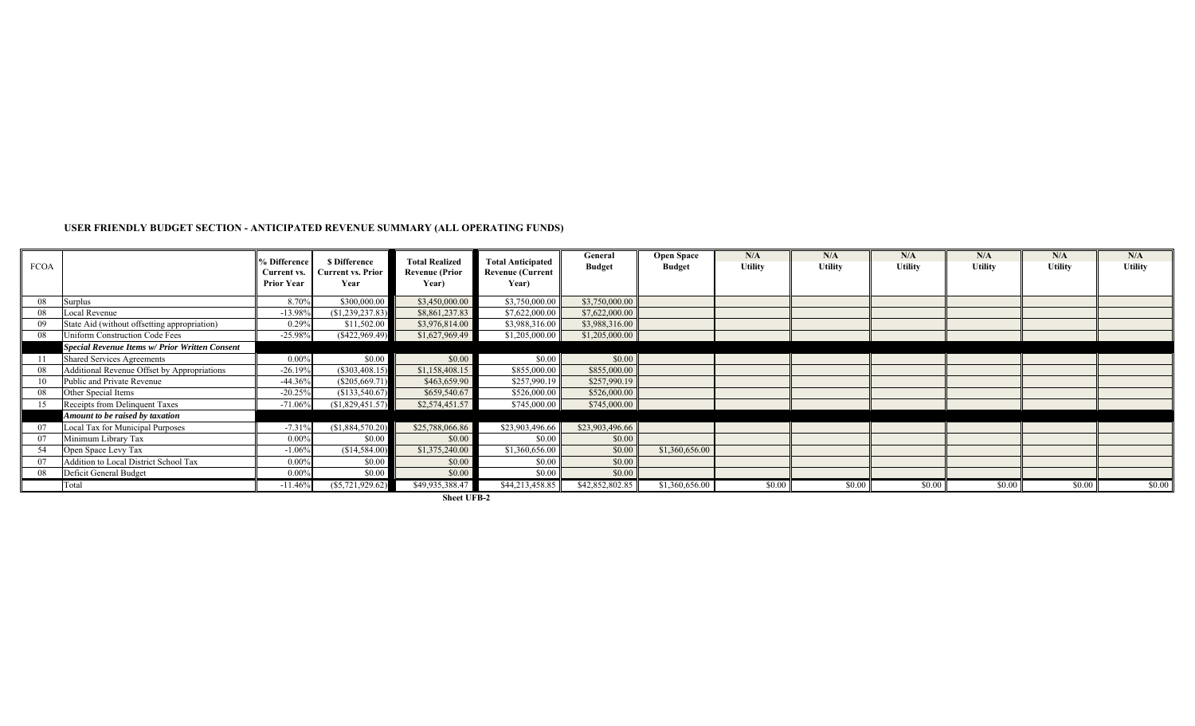#### **USER FRIENDLY BUDGET SECTION - ANTICIPATED REVENUE SUMMARY (ALL OPERATING FUNDS)**

| <b>FCOA</b> |                                                | % Difference<br><b>Current vs.</b><br><b>Prior Year</b> | <b>S</b> Difference<br>Current vs. Prior<br>Year | <b>Total Realized</b><br><b>Revenue (Prior</b><br>Year) | <b>Total Anticipated</b><br><b>Revenue (Current</b><br>Year) | General<br><b>Budget</b> | <b>Open Space</b><br><b>Budget</b> | N/A<br><b>Utility</b> | N/A<br><b>Utility</b> | N/A<br><b>Utility</b> | N/A<br><b>Utility</b> | N/A<br><b>Utility</b> | N/A<br><b>Utility</b> |
|-------------|------------------------------------------------|---------------------------------------------------------|--------------------------------------------------|---------------------------------------------------------|--------------------------------------------------------------|--------------------------|------------------------------------|-----------------------|-----------------------|-----------------------|-----------------------|-----------------------|-----------------------|
| 08          | Surplus                                        | 8.70%                                                   | \$300,000.00                                     | \$3,450,000.00                                          | \$3,750,000.00                                               | \$3,750,000.00           |                                    |                       |                       |                       |                       |                       |                       |
| 08          | Local Revenue                                  | $-13.98%$                                               | (\$1,239,237.83)                                 | \$8,861,237.83                                          | \$7,622,000.00                                               | \$7,622,000.00           |                                    |                       |                       |                       |                       |                       |                       |
|             | State Aid (without offsetting appropriation)   | 0.29%                                                   | \$11,502.00                                      | \$3,976,814.00                                          | \$3,988,316.00                                               | \$3,988,316.00           |                                    |                       |                       |                       |                       |                       |                       |
| 08          | Uniform Construction Code Fees                 | $-25.98%$                                               | (S422, 969.49)                                   | \$1,627,969.49                                          | \$1,205,000.00                                               | \$1,205,000.00           |                                    |                       |                       |                       |                       |                       |                       |
|             | Special Revenue Items w/ Prior Written Consent |                                                         |                                                  |                                                         |                                                              |                          |                                    |                       |                       |                       |                       |                       |                       |
|             | <b>Shared Services Agreements</b>              | $0.00\%$                                                | \$0.00                                           | \$0.00                                                  | \$0.00                                                       | \$0.00                   |                                    |                       |                       |                       |                       |                       |                       |
| 08          | Additional Revenue Offset by Appropriations    | $-26.19%$                                               | $(\$303,408.15)$                                 | \$1,158,408.15                                          | \$855,000.00                                                 | \$855,000.00             |                                    |                       |                       |                       |                       |                       |                       |
|             | Public and Private Revenue                     | $-44.36%$                                               | (\$205,669.7)                                    | \$463,659.90                                            | \$257,990.19                                                 | \$257,990.19             |                                    |                       |                       |                       |                       |                       |                       |
| 08          | Other Special Items                            | $-20.25%$                                               | (\$133,540.67)                                   | \$659,540.67                                            | \$526,000.00                                                 | \$526,000.00             |                                    |                       |                       |                       |                       |                       |                       |
|             | Receipts from Delinquent Taxes                 | $-71.06%$                                               | (S1,829,451.57)                                  | \$2,574,451.57                                          | \$745,000.00                                                 | \$745,000.00             |                                    |                       |                       |                       |                       |                       |                       |
|             | Amount to be raised by taxation                |                                                         |                                                  |                                                         |                                                              |                          |                                    |                       |                       |                       |                       |                       |                       |
|             | Local Tax for Municipal Purposes               | $-7.31%$                                                | (S1,884,570.20)                                  | \$25,788,066.86                                         | \$23,903,496.66                                              | \$23,903,496.66          |                                    |                       |                       |                       |                       |                       |                       |
|             | Minimum Library Tax                            | 0.00%                                                   | \$0.00                                           | \$0.00                                                  | \$0.00                                                       | \$0.00                   |                                    |                       |                       |                       |                       |                       |                       |
| 54          | Open Space Levy Tax                            | $-1.06%$                                                | (\$14,584.00)                                    | \$1,375,240.00                                          | \$1,360,656.00                                               | \$0.00                   | \$1,360,656.00                     |                       |                       |                       |                       |                       |                       |
|             | Addition to Local District School Tax          | $0.00\%$                                                | \$0.00                                           | \$0.00                                                  | \$0.00                                                       | \$0.00                   |                                    |                       |                       |                       |                       |                       |                       |
|             | Deficit General Budget                         | $0.00\%$                                                | \$0.00                                           | \$0.00                                                  | \$0.00                                                       | \$0.00                   |                                    |                       |                       |                       |                       |                       |                       |
|             | Total                                          | $-11.46%$                                               | $(\$5,721,929.62)$                               | \$49,935,388.47                                         | \$44,213,458.85                                              | \$42,852,802.85          | \$1,360,656.00                     | \$0.00                | \$0.00                | \$0.00                | \$0.00                | \$0.00                | \$0.00                |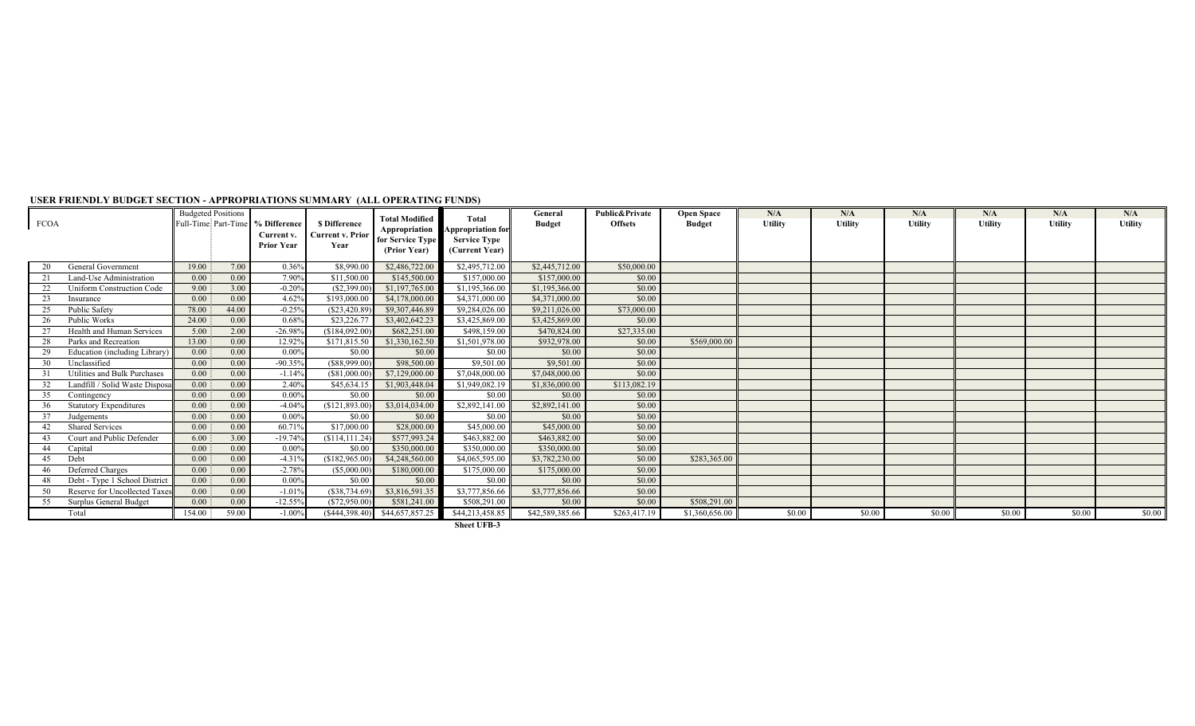| <b>FCOA</b> |                                  | <b>Budgeted Positions</b><br>Full-Time Part-Time | % Difference<br>Current v.<br><b>Prior Year</b> | \$ Difference<br><b>Current v. Prior</b><br>Year | <b>Total Modified</b><br>for Service Type<br>(Prior Year) | <b>Total</b><br>Appropriation Appropriation for<br><b>Service Type</b><br>(Current Year) | General<br><b>Budget</b> | <b>Public&amp;Private</b><br><b>Offsets</b> | <b>Open Space</b><br><b>Budget</b> | N/A<br><b>Utility</b> | N/A<br><b>Utility</b> | N/A<br>Utility | N/A<br><b>Utility</b> | N/A<br><b>Utility</b> | N/A<br><b>Utility</b> |
|-------------|----------------------------------|--------------------------------------------------|-------------------------------------------------|--------------------------------------------------|-----------------------------------------------------------|------------------------------------------------------------------------------------------|--------------------------|---------------------------------------------|------------------------------------|-----------------------|-----------------------|----------------|-----------------------|-----------------------|-----------------------|
| 20          | <b>General Government</b>        | 19.00<br>7.00                                    | 0.36%                                           | \$8,990.00                                       | \$2,486,722.00                                            | \$2,495,712.00                                                                           | \$2,445,712.00           | \$50,000.00                                 |                                    |                       |                       |                |                       |                       |                       |
|             | Land-Use Administration          | 0.00<br>0.00                                     | 7.90%                                           | \$11,500.00                                      | \$145,500.00                                              | \$157,000.00                                                                             | \$157,000.00             | \$0.00                                      |                                    |                       |                       |                |                       |                       |                       |
| 22          | <b>Uniform Construction Code</b> | 9.00<br>3.00                                     | $-0.20%$                                        | (\$2,399.00                                      | \$1,197,765.00                                            | \$1,195,366.00                                                                           | \$1,195,366.00           | \$0.00                                      |                                    |                       |                       |                |                       |                       |                       |
| 23          | Insurance                        | 0.00<br>0.00                                     | 4.62%                                           | \$193,000.00                                     | \$4,178,000.00                                            | \$4,371,000.00                                                                           | \$4,371,000.00           | \$0.00                                      |                                    |                       |                       |                |                       |                       |                       |
| 25          | Public Safety                    | 44.00<br>78.00                                   | $-0.25%$                                        | (\$23,420.89)                                    | \$9,307,446.89                                            | \$9,284,026.00                                                                           | \$9,211,026.00           | \$73,000.00                                 |                                    |                       |                       |                |                       |                       |                       |
| 26          | Public Works                     | 24.00<br>0.00                                    | 0.68%                                           | \$23,226.77                                      | \$3,402,642.23                                            | \$3,425,869.00                                                                           | \$3,425,869.00           | \$0.00                                      |                                    |                       |                       |                |                       |                       |                       |
|             | Health and Human Services        | 2.00<br>5.00                                     | $-26.989$                                       | (\$184,092.00                                    | \$682,251.00                                              | \$498,159.00                                                                             | \$470,824.00             | \$27,335.00                                 |                                    |                       |                       |                |                       |                       |                       |
| 28          | Parks and Recreation             | 13.00<br>0.00                                    | 12.92%                                          | \$171,815.50                                     | \$1,330,162.50                                            | \$1,501,978.00                                                                           | \$932,978.00             | \$0.00                                      | \$569,000.00                       |                       |                       |                |                       |                       |                       |
| 29          | Education (including Library)    | 0.00<br>0.00                                     | 0.009                                           | \$0.00                                           | \$0.00                                                    | \$0.00                                                                                   | \$0.00                   | \$0.00                                      |                                    |                       |                       |                |                       |                       |                       |
| 30          | Unclassified                     | 0.00<br>0.00                                     | $-90.35%$                                       | (\$88,999.00)                                    | \$98,500.00                                               | \$9,501.00                                                                               | \$9,501.00               | \$0.00                                      |                                    |                       |                       |                |                       |                       |                       |
|             | Utilities and Bulk Purchases     | 0.00<br>0.00                                     | $-1.149$                                        | (S81,000.00)                                     | \$7,129,000.00                                            | \$7,048,000.00                                                                           | \$7,048,000.00           | \$0.00                                      |                                    |                       |                       |                |                       |                       |                       |
|             | Landfill / Solid Waste Disposa   | 0.00<br>0.00                                     | 2.40%                                           | \$45,634.15                                      | \$1,903,448.04                                            | \$1,949,082.19                                                                           | \$1,836,000.00           | \$113,082.19                                |                                    |                       |                       |                |                       |                       |                       |
| 35          | Contingency                      | 0.00<br>0.00                                     | 0.00%                                           | \$0.00                                           | \$0.00                                                    | \$0.00                                                                                   | \$0.00                   | \$0.00                                      |                                    |                       |                       |                |                       |                       |                       |
| 36          | <b>Statutory Expenditures</b>    | 0.00<br>0.00                                     | $-4.049$                                        | \$121,893.00                                     | \$3,014,034.00                                            | \$2,892,141.00                                                                           | \$2,892,141.00           | \$0.00                                      |                                    |                       |                       |                |                       |                       |                       |
|             | Judgements                       | 0.00<br>0.00                                     | 0.00%                                           | \$0.00                                           | \$0.00                                                    | \$0.00                                                                                   | \$0.00                   | \$0.00                                      |                                    |                       |                       |                |                       |                       |                       |
|             | <b>Shared Services</b>           | 0.00<br>0.00                                     | 60.719                                          | \$17,000.00                                      | \$28,000.00                                               | \$45,000.00                                                                              | \$45,000.00              | \$0.00                                      |                                    |                       |                       |                |                       |                       |                       |
|             | Court and Public Defender        | 6.00<br>3.00                                     | $-19.74%$                                       | (\$114, 111.24)                                  | \$577,993.24                                              | \$463,882.00                                                                             | \$463,882.00             | \$0.00                                      |                                    |                       |                       |                |                       |                       |                       |
| 44          | Capital                          | 0.00<br>0.00                                     | 0.00%                                           | \$0.00                                           | \$350,000.00                                              | \$350,000.00                                                                             | \$350,000.00             | \$0.00                                      |                                    |                       |                       |                |                       |                       |                       |
| 45          | Debt                             | 0.00<br>0.00                                     | $-4.31%$                                        | (\$182,965.00                                    | \$4,248,560.00                                            | \$4,065,595.00                                                                           | \$3,782,230.00           | \$0.00                                      | \$283,365.00                       |                       |                       |                |                       |                       |                       |
| 46          | Deferred Charges                 | 0.00<br>0.00                                     | $-2.78%$                                        | (\$5,000.00)                                     | \$180,000.00                                              | \$175,000.00                                                                             | \$175,000.00             | \$0.00                                      |                                    |                       |                       |                |                       |                       |                       |
| 48          | Debt - Type 1 School District    | 0.00<br>0.00                                     | $0.00\%$                                        | \$0.00                                           | \$0.00                                                    | \$0.00                                                                                   | \$0.00                   | \$0.00                                      |                                    |                       |                       |                |                       |                       |                       |
| 50          | Reserve for Uncollected Taxes    | 0.00<br>0.00                                     | $-1.019$                                        | (\$38,734.69)                                    | \$3,816,591.35                                            | \$3,777,856.66                                                                           | \$3,777,856.66           | \$0.00                                      |                                    |                       |                       |                |                       |                       |                       |
| 55          | Surplus General Budget           | 0.00<br>0.00                                     | $-12.55%$                                       | (\$72,950.00                                     | \$581,241.00                                              | \$508,291.00                                                                             | \$0.00                   | \$0.00                                      | \$508,291.00                       |                       |                       |                |                       |                       |                       |
|             | Total                            | 154.00<br>59.00                                  | $-1.00%$                                        | (\$444,398.40)                                   | \$44,657,857.25                                           | \$44,213,458.85                                                                          | \$42,589,385.66          | \$263,417.19                                | \$1,360,656.00                     | \$0.00                | \$0.00                | \$0.00         | \$0.00                | \$0.00                | \$0.00                |

#### **USER FRIENDLY BUDGET SECTION - APPROPRIATIONS SUMMARY (ALL OPERATING FUNDS)**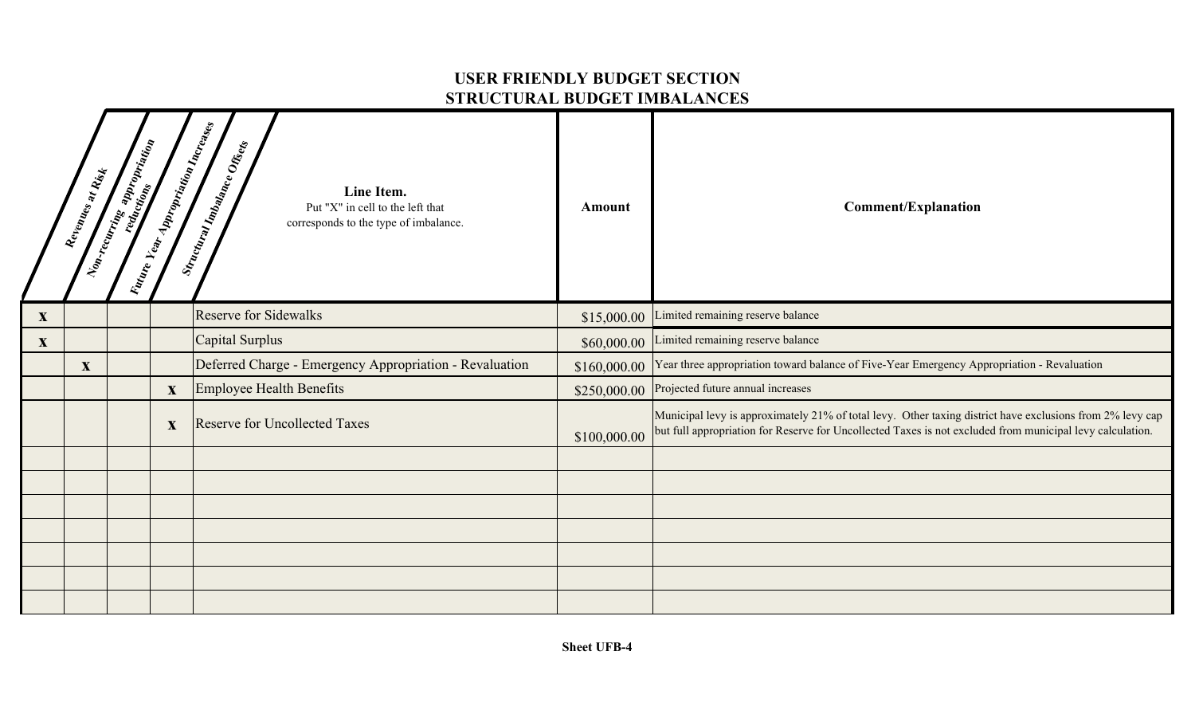### **USER FRIENDLY BUDGET SECTION STRUCTURAL BUDGET IMBALANCES**

|              | Revenues at Rist | <b>Representation Contract Contract Contract Contract Contract Contract Contract Contract Contract Contract Contract Contract Contract Contract Contract Contract Contract Contract Contract Contract Contract Contract Contract</b> | Valure Vear Appropriation Increases | Structural Imbalance Offices<br>Line Item.<br>Put "X" in cell to the left that<br>corresponds to the type of imbalance. | Amount       | <b>Comment/Explanation</b>                                                                                                                                                                                             |
|--------------|------------------|--------------------------------------------------------------------------------------------------------------------------------------------------------------------------------------------------------------------------------------|-------------------------------------|-------------------------------------------------------------------------------------------------------------------------|--------------|------------------------------------------------------------------------------------------------------------------------------------------------------------------------------------------------------------------------|
| X            |                  |                                                                                                                                                                                                                                      |                                     | <b>Reserve for Sidewalks</b>                                                                                            | \$15,000.00  | Limited remaining reserve balance                                                                                                                                                                                      |
| $\mathbf{X}$ |                  |                                                                                                                                                                                                                                      |                                     | Capital Surplus                                                                                                         | \$60,000.00  | Limited remaining reserve balance                                                                                                                                                                                      |
|              | $\mathbf X$      |                                                                                                                                                                                                                                      |                                     | Deferred Charge - Emergency Appropriation - Revaluation                                                                 | \$160,000.00 | Year three appropriation toward balance of Five-Year Emergency Appropriation - Revaluation                                                                                                                             |
|              |                  |                                                                                                                                                                                                                                      | $\mathbf{X}$                        | Employee Health Benefits                                                                                                | \$250,000.00 | Projected future annual increases                                                                                                                                                                                      |
|              |                  |                                                                                                                                                                                                                                      | $\mathbf{X}$                        | <b>Reserve for Uncollected Taxes</b>                                                                                    | \$100,000.00 | Municipal levy is approximately 21% of total levy. Other taxing district have exclusions from 2% levy cap<br>but full appropriation for Reserve for Uncollected Taxes is not excluded from municipal levy calculation. |
|              |                  |                                                                                                                                                                                                                                      |                                     |                                                                                                                         |              |                                                                                                                                                                                                                        |
|              |                  |                                                                                                                                                                                                                                      |                                     |                                                                                                                         |              |                                                                                                                                                                                                                        |
|              |                  |                                                                                                                                                                                                                                      |                                     |                                                                                                                         |              |                                                                                                                                                                                                                        |
|              |                  |                                                                                                                                                                                                                                      |                                     |                                                                                                                         |              |                                                                                                                                                                                                                        |
|              |                  |                                                                                                                                                                                                                                      |                                     |                                                                                                                         |              |                                                                                                                                                                                                                        |
|              |                  |                                                                                                                                                                                                                                      |                                     |                                                                                                                         |              |                                                                                                                                                                                                                        |
|              |                  |                                                                                                                                                                                                                                      |                                     |                                                                                                                         |              |                                                                                                                                                                                                                        |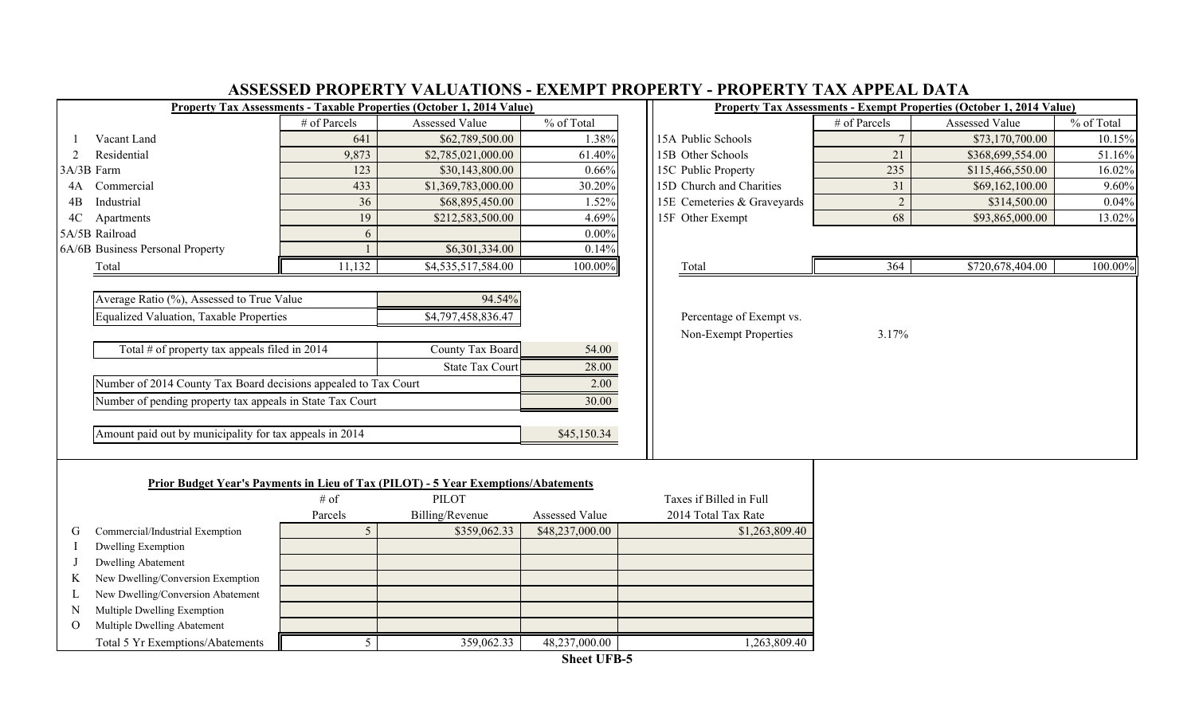|          |                                                                 |                 | JEDDED I IWI EINI I TAEUTHIUTO<br>Property Tax Assessments - Taxable Properties (October 1, 2014 Value)   | EXPENIE L'INVIERT L |                             |                |                | Property Tax Assessments - Exempt Properties (October 1, 2014 Value) |            |
|----------|-----------------------------------------------------------------|-----------------|-----------------------------------------------------------------------------------------------------------|---------------------|-----------------------------|----------------|----------------|----------------------------------------------------------------------|------------|
|          |                                                                 | # of Parcels    | Assessed Value                                                                                            | % of Total          |                             |                | # of Parcels   | Assessed Value                                                       | % of Total |
|          | Vacant Land                                                     | 641             | \$62,789,500.00                                                                                           | 1.38%               | 15A Public Schools          |                |                | \$73,170,700.00                                                      | 10.15%     |
| 2        | Residential                                                     | 9,873           | \$2,785,021,000.00                                                                                        | 61.40%              | 15B Other Schools           |                | 21             | \$368,699,554.00                                                     | 51.16%     |
|          | 3A/3B Farm                                                      | 123             | \$30,143,800.00                                                                                           | 0.66%               | 15C Public Property         |                | 235            | \$115,466,550.00                                                     | 16.02%     |
| 4A       | Commercial                                                      | 433             | \$1,369,783,000.00                                                                                        | 30.20%              | 15D Church and Charities    |                | 31             | \$69,162,100.00                                                      | 9.60%      |
| 4B       | Industrial                                                      | 36              | \$68,895,450.00                                                                                           | 1.52%               | 15E Cemeteries & Graveyards |                | $\overline{c}$ | \$314,500.00                                                         | 0.04%      |
| 4C       | Apartments                                                      | 19              | \$212,583,500.00                                                                                          | 4.69%               | 15F Other Exempt            |                | 68             | \$93,865,000.00                                                      | 13.02%     |
|          | 5A/5B Railroad                                                  | 6               |                                                                                                           | 0.00%               |                             |                |                |                                                                      |            |
|          | 6A/6B Business Personal Property                                |                 | \$6,301,334.00                                                                                            | 0.14%               |                             |                |                |                                                                      |            |
|          | Total                                                           | 11,132          | \$4,535,517,584.00                                                                                        | 100.00%             | Total                       |                | 364            | \$720,678,404.00                                                     | 100.00%    |
|          |                                                                 |                 |                                                                                                           |                     |                             |                |                |                                                                      |            |
|          | Average Ratio (%), Assessed to True Value                       |                 | 94.54%                                                                                                    |                     |                             |                |                |                                                                      |            |
|          | <b>Equalized Valuation, Taxable Properties</b>                  |                 | \$4,797,458,836.47                                                                                        |                     | Percentage of Exempt vs.    |                |                |                                                                      |            |
|          |                                                                 |                 |                                                                                                           |                     | Non-Exempt Properties       |                | 3.17%          |                                                                      |            |
|          | Total $#$ of property tax appeals filed in 2014                 |                 | County Tax Board                                                                                          | 54.00               |                             |                |                |                                                                      |            |
|          |                                                                 |                 | <b>State Tax Court</b>                                                                                    | 28.00               |                             |                |                |                                                                      |            |
|          | Number of 2014 County Tax Board decisions appealed to Tax Court |                 |                                                                                                           | 2.00                |                             |                |                |                                                                      |            |
|          | Number of pending property tax appeals in State Tax Court       |                 |                                                                                                           | 30.00               |                             |                |                |                                                                      |            |
|          |                                                                 |                 |                                                                                                           |                     |                             |                |                |                                                                      |            |
|          | Amount paid out by municipality for tax appeals in 2014         |                 |                                                                                                           | \$45,150.34         |                             |                |                |                                                                      |            |
|          |                                                                 |                 |                                                                                                           |                     |                             |                |                |                                                                      |            |
|          |                                                                 |                 |                                                                                                           |                     |                             |                |                |                                                                      |            |
|          |                                                                 | $#$ of          | <b>Prior Budget Year's Payments in Lieu of Tax (PILOT) - 5 Year Exemptions/Abatements</b><br><b>PILOT</b> |                     | Taxes if Billed in Full     |                |                |                                                                      |            |
|          |                                                                 | Parcels         | Billing/Revenue                                                                                           | Assessed Value      | 2014 Total Tax Rate         |                |                |                                                                      |            |
| G        | Commercial/Industrial Exemption                                 | $5\overline{)}$ | \$359,062.33                                                                                              | \$48,237,000.00     |                             | \$1,263,809.40 |                |                                                                      |            |
|          | <b>Dwelling Exemption</b>                                       |                 |                                                                                                           |                     |                             |                |                |                                                                      |            |
|          | <b>Dwelling Abatement</b>                                       |                 |                                                                                                           |                     |                             |                |                |                                                                      |            |
| K        | New Dwelling/Conversion Exemption                               |                 |                                                                                                           |                     |                             |                |                |                                                                      |            |
| L        | New Dwelling/Conversion Abatement                               |                 |                                                                                                           |                     |                             |                |                |                                                                      |            |
| N        | Multiple Dwelling Exemption                                     |                 |                                                                                                           |                     |                             |                |                |                                                                      |            |
| $\Omega$ | Multiple Dwelling Abatement                                     |                 |                                                                                                           |                     |                             |                |                |                                                                      |            |
|          | Total 5 Yr Exemptions/Abatements                                | 5               | 359,062.33                                                                                                | 48,237,000.00       |                             | 1,263,809.40   |                |                                                                      |            |

#### **ASSESSED PROPERTY VALUATIONS - EXEMPT PROPERTY - PROPERTY TAX APPEAL DATA**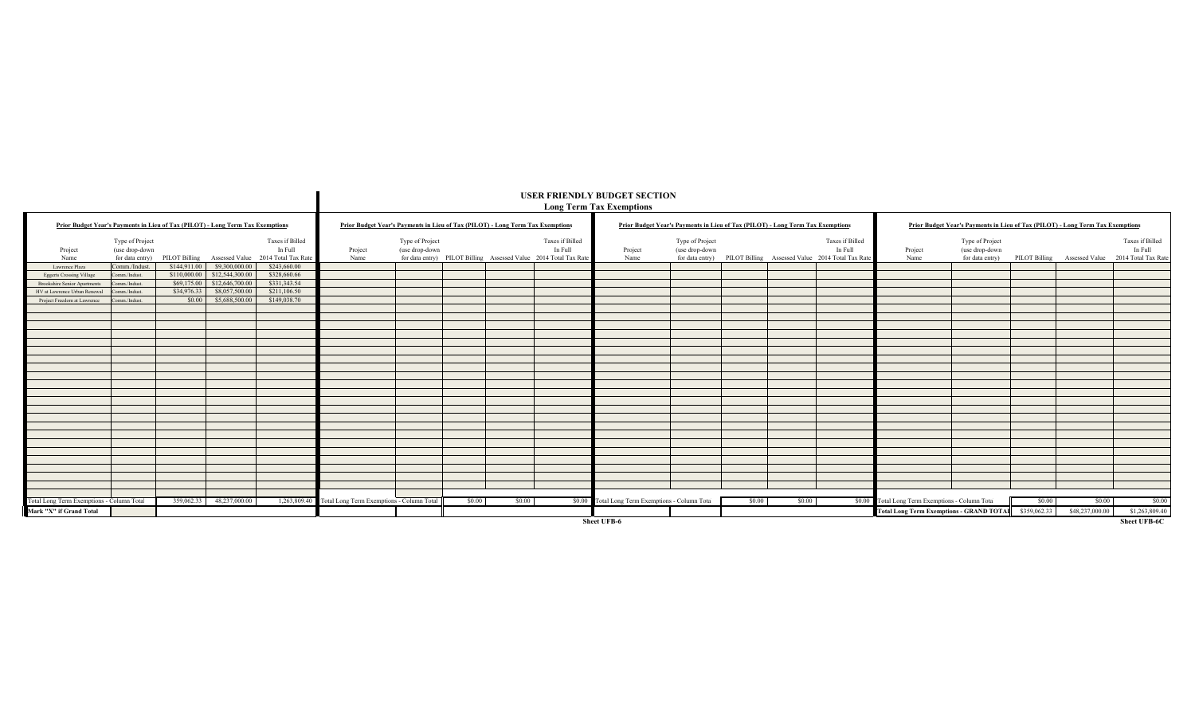|                                                                                |                                                      |             |                                |                                                                                |                                                                                |                                   |        |        |                                                                                                | USER FRIENDLY BUDGET SECTION<br><b>Long Term Tax Exemptions</b>                |                                   |        |        |                                                                                                |                                                  |                                                                                |              |                                                  |                            |
|--------------------------------------------------------------------------------|------------------------------------------------------|-------------|--------------------------------|--------------------------------------------------------------------------------|--------------------------------------------------------------------------------|-----------------------------------|--------|--------|------------------------------------------------------------------------------------------------|--------------------------------------------------------------------------------|-----------------------------------|--------|--------|------------------------------------------------------------------------------------------------|--------------------------------------------------|--------------------------------------------------------------------------------|--------------|--------------------------------------------------|----------------------------|
| Prior Budget Year's Payments in Lieu of Tax (PILOT) - Long Term Tax Exemptions |                                                      |             |                                |                                                                                | Prior Budget Year's Payments in Lieu of Tax (PILOT) - Long Term Tax Exemptions |                                   |        |        |                                                                                                | Prior Budget Year's Payments in Lieu of Tax (PILOT) - Long Term Tax Exemptions |                                   |        |        |                                                                                                |                                                  | Prior Budget Year's Payments in Lieu of Tax (PILOT) - Long Term Tax Exemptions |              |                                                  |                            |
| Project<br>Name                                                                | Type of Project<br>(use drop-down<br>for data entry) |             |                                | Taxes if Billed<br>In Full<br>PILOT Billing Assessed Value 2014 Total Tax Rate | Project<br>Name                                                                | Type of Project<br>(use drop-down |        |        | Taxes if Billed<br>In Full<br>for data entry) PILOT Billing Assessed Value 2014 Total Tax Rate | Project<br>Name                                                                | Type of Project<br>(use drop-down |        |        | Taxes if Billed<br>In Full<br>for data entry) PILOT Billing Assessed Value 2014 Total Tax Rate | Project<br>Name                                  | Type of Project<br>(use drop-down<br>for data entry)                           |              | PILOT Billing Assessed Value 2014 Total Tax Rate | Taxes if Billed<br>In Full |
| Lawrence Plaza                                                                 | Comm./Indust                                         |             | \$144,911.00    \$9,300,000.00 | \$243,660.00                                                                   |                                                                                |                                   |        |        |                                                                                                |                                                                                |                                   |        |        |                                                                                                |                                                  |                                                                                |              |                                                  |                            |
| <b>Eggerts Crossing Village</b>                                                | Comm./Indust.                                        |             | \$110,000.00 \$12,544,300.00   | \$328,660.66                                                                   |                                                                                |                                   |        |        |                                                                                                |                                                                                |                                   |        |        |                                                                                                |                                                  |                                                                                |              |                                                  |                            |
| <b>Brookshire Senior Apartments</b>                                            | omm./Indust.                                         |             | \$69,175.00 \$12,646,700.00    | \$331,343.54                                                                   |                                                                                |                                   |        |        |                                                                                                |                                                                                |                                   |        |        |                                                                                                |                                                  |                                                                                |              |                                                  |                            |
| HV at Lawrence Urban Renewal                                                   | mm./Indust.                                          | \$34,976.33 | \$8,057,500.00                 | \$211,106.50                                                                   |                                                                                |                                   |        |        |                                                                                                |                                                                                |                                   |        |        |                                                                                                |                                                  |                                                                                |              |                                                  |                            |
| Project Freedom at Lawrence                                                    | omm./Indust.                                         | \$0.00      | \$5,688,500.00                 | \$149,038.70                                                                   |                                                                                |                                   |        |        |                                                                                                |                                                                                |                                   |        |        |                                                                                                |                                                  |                                                                                |              |                                                  |                            |
|                                                                                |                                                      |             |                                |                                                                                |                                                                                |                                   |        |        |                                                                                                |                                                                                |                                   |        |        |                                                                                                |                                                  |                                                                                |              |                                                  |                            |
|                                                                                |                                                      |             |                                |                                                                                |                                                                                |                                   |        |        |                                                                                                |                                                                                |                                   |        |        |                                                                                                |                                                  |                                                                                |              |                                                  |                            |
|                                                                                |                                                      |             |                                |                                                                                |                                                                                |                                   |        |        |                                                                                                |                                                                                |                                   |        |        |                                                                                                |                                                  |                                                                                |              |                                                  |                            |
|                                                                                |                                                      |             |                                |                                                                                |                                                                                |                                   |        |        |                                                                                                |                                                                                |                                   |        |        |                                                                                                |                                                  |                                                                                |              |                                                  |                            |
|                                                                                |                                                      |             |                                |                                                                                |                                                                                |                                   |        |        |                                                                                                |                                                                                |                                   |        |        |                                                                                                |                                                  |                                                                                |              |                                                  |                            |
|                                                                                |                                                      |             |                                |                                                                                |                                                                                |                                   |        |        |                                                                                                |                                                                                |                                   |        |        |                                                                                                |                                                  |                                                                                |              |                                                  |                            |
|                                                                                |                                                      |             |                                |                                                                                |                                                                                |                                   |        |        |                                                                                                |                                                                                |                                   |        |        |                                                                                                |                                                  |                                                                                |              |                                                  |                            |
|                                                                                |                                                      |             |                                |                                                                                |                                                                                |                                   |        |        |                                                                                                |                                                                                |                                   |        |        |                                                                                                |                                                  |                                                                                |              |                                                  |                            |
|                                                                                |                                                      |             |                                |                                                                                |                                                                                |                                   |        |        |                                                                                                |                                                                                |                                   |        |        |                                                                                                |                                                  |                                                                                |              |                                                  |                            |
|                                                                                |                                                      |             |                                |                                                                                |                                                                                |                                   |        |        |                                                                                                |                                                                                |                                   |        |        |                                                                                                |                                                  |                                                                                |              |                                                  |                            |
|                                                                                |                                                      |             |                                |                                                                                |                                                                                |                                   |        |        |                                                                                                |                                                                                |                                   |        |        |                                                                                                |                                                  |                                                                                |              |                                                  |                            |
|                                                                                |                                                      |             |                                |                                                                                |                                                                                |                                   |        |        |                                                                                                |                                                                                |                                   |        |        |                                                                                                |                                                  |                                                                                |              |                                                  |                            |
|                                                                                |                                                      |             |                                |                                                                                |                                                                                |                                   |        |        |                                                                                                |                                                                                |                                   |        |        |                                                                                                |                                                  |                                                                                |              |                                                  |                            |
|                                                                                |                                                      |             |                                |                                                                                |                                                                                |                                   |        |        |                                                                                                |                                                                                |                                   |        |        |                                                                                                |                                                  |                                                                                |              |                                                  |                            |
|                                                                                |                                                      |             |                                |                                                                                |                                                                                |                                   |        |        |                                                                                                |                                                                                |                                   |        |        |                                                                                                |                                                  |                                                                                |              |                                                  |                            |
|                                                                                |                                                      |             |                                |                                                                                |                                                                                |                                   |        |        |                                                                                                |                                                                                |                                   |        |        |                                                                                                |                                                  |                                                                                |              |                                                  |                            |
|                                                                                |                                                      |             |                                |                                                                                |                                                                                |                                   |        |        |                                                                                                |                                                                                |                                   |        |        |                                                                                                |                                                  |                                                                                |              |                                                  |                            |
|                                                                                |                                                      |             |                                |                                                                                |                                                                                |                                   |        |        |                                                                                                |                                                                                |                                   |        |        |                                                                                                |                                                  |                                                                                |              |                                                  |                            |
|                                                                                |                                                      |             |                                |                                                                                |                                                                                |                                   |        |        |                                                                                                |                                                                                |                                   |        |        |                                                                                                |                                                  |                                                                                |              |                                                  |                            |
|                                                                                |                                                      |             |                                |                                                                                |                                                                                |                                   |        |        |                                                                                                |                                                                                |                                   |        |        |                                                                                                |                                                  |                                                                                |              |                                                  |                            |
|                                                                                |                                                      |             |                                |                                                                                |                                                                                |                                   |        |        |                                                                                                |                                                                                |                                   |        |        |                                                                                                |                                                  |                                                                                |              |                                                  |                            |
|                                                                                |                                                      |             |                                |                                                                                |                                                                                |                                   |        |        |                                                                                                |                                                                                |                                   |        |        |                                                                                                |                                                  |                                                                                |              |                                                  |                            |
|                                                                                |                                                      |             |                                |                                                                                |                                                                                |                                   |        |        |                                                                                                |                                                                                |                                   |        |        |                                                                                                |                                                  |                                                                                |              |                                                  |                            |
| Total Long Term Exemptions - Column Total                                      |                                                      |             | 359,062.33 48,237,000.00       | 1.263,809.40                                                                   | Total Long Term Exemptions - Column Total                                      |                                   | \$0.00 | \$0.00 |                                                                                                | \$0.00 Total Long Term Exemptions - Column Tota                                |                                   | \$0.00 | \$0.00 |                                                                                                | \$0.00 Total Long Term Exemptions - Column Total |                                                                                | \$0.00       | \$0.00                                           | \$0.00                     |
| Mark "X" if Grand Total                                                        |                                                      |             |                                |                                                                                |                                                                                |                                   |        |        |                                                                                                |                                                                                |                                   |        |        |                                                                                                | <b>Total Long Term Exemptions - GRAND TOTA</b>   |                                                                                | \$359,062.33 | \$48,237,000.00                                  | \$1,263,809.40             |

**Sheet UFB-6**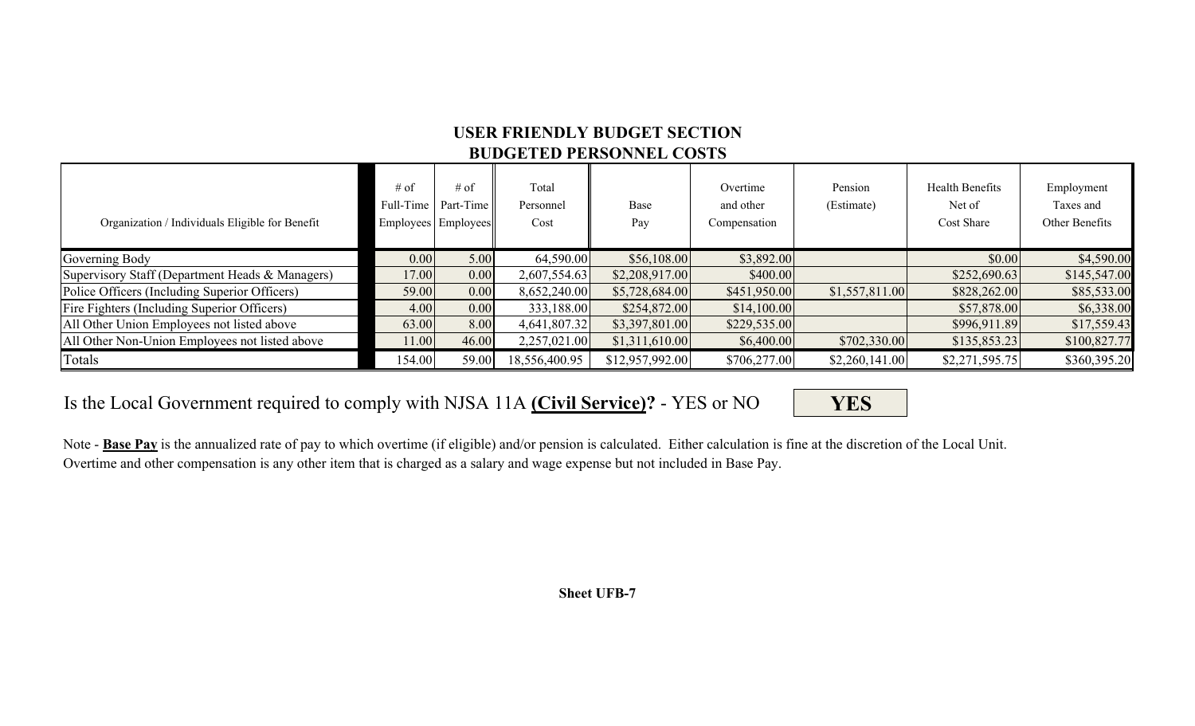## **USER FRIENDLY BUDGET SECTIONBUDGETED PERSONNEL COSTS**

| Organization / Individuals Eligible for Benefit | $#$ of<br>Full-Time | $#$ of<br>Part-Time<br>Employees Employees | Total<br>Personnel<br>Cost | Base<br>Pay     | Overtime<br>and other<br>Compensation | Pension<br>(Estimate) | Health Benefits<br>Net of<br>Cost Share | Employment<br>Taxes and<br>Other Benefits |
|-------------------------------------------------|---------------------|--------------------------------------------|----------------------------|-----------------|---------------------------------------|-----------------------|-----------------------------------------|-------------------------------------------|
| Governing Body                                  | 0.00                | 5.00                                       | 64,590.00                  | \$56,108.00     | \$3,892.00                            |                       | \$0.00                                  | \$4,590.00                                |
| Supervisory Staff (Department Heads & Managers) | 17.00               | 0.00                                       | 2,607,554.63               | \$2,208,917.00  | \$400.00                              |                       | \$252,690.63                            | \$145,547.00                              |
| Police Officers (Including Superior Officers)   | 59.00               | 0.00                                       | 8,652,240.00               | \$5,728,684.00  | \$451,950.00                          | \$1,557,811.00        | \$828,262.00                            | \$85,533.00                               |
| Fire Fighters (Including Superior Officers)     | 4.00                | 0.00                                       | 333,188.00                 | \$254,872.00    | \$14,100.00                           |                       | \$57,878.00                             | \$6,338.00                                |
| All Other Union Employees not listed above      | 63.00               | 8.00                                       | 4,641,807.32               | \$3,397,801.00  | \$229,535.00                          |                       | \$996,911.89                            | \$17,559.43                               |
| All Other Non-Union Employees not listed above  | 11.00               | 46.00                                      | 2,257,021.00               | \$1,311,610.00  | \$6,400.00                            | \$702,330.00          | \$135,853.23                            | \$100,827.77                              |
| Totals                                          | 154.00              | 59.00                                      | 18,556,400.95              | \$12,957,992.00 | \$706,277.00                          | \$2,260,141.00        | \$2,271,595.75                          | \$360,395.20                              |

Is the Local Government required to comply with NJSA 11A **(Civil Service) ?** - YES or NO

**YES**

Note - **Base Pay** is the annualized rate of pay to which overtime (if eligible) and/or pension is calculated. Either calculation is fine at the discretion of the Local Unit. Overtime and other compensation is any other item that is charged as a salary and wage expense but not included in Base Pay.